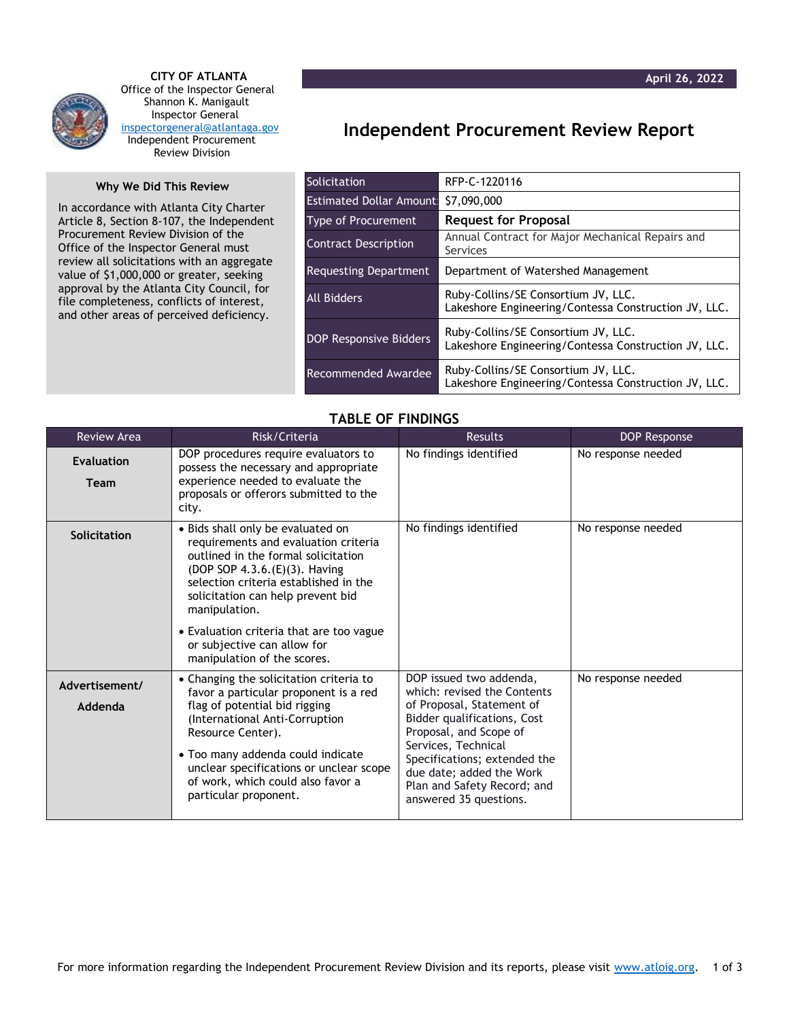

 **CITY OF ATLANTA** Office of the Inspector General Shannon K. Manigault Inspector General [inspectorgeneral@atlantaga.gov](mailto:inspectorgeneral@atlantaga.gov) Independent Procurement Review Division

## **Why We Did This Review**

In accordance with Atlanta City Charter Article 8, Section 8-107, the Independent Procurement Review Division of the Office of the Inspector General must review all solicitations with an aggregate value of \$1,000,000 or greater, seeking approval by the Atlanta City Council, for file completeness, conflicts of interest, and other areas of perceived deficiency.

## **Independent Procurement Review Report**

| <b>Solicitation</b>            | RFP-C-1220116                                                                               |  |  |
|--------------------------------|---------------------------------------------------------------------------------------------|--|--|
| <b>Estimated Dollar Amount</b> | \$7,090,000                                                                                 |  |  |
| <b>Type of Procurement</b>     | <b>Request for Proposal</b>                                                                 |  |  |
| <b>Contract Description</b>    | Annual Contract for Major Mechanical Repairs and<br>Services                                |  |  |
| <b>Requesting Department</b>   | Department of Watershed Management                                                          |  |  |
| All Bidders                    | Ruby-Collins/SE Consortium JV, LLC.<br>Lakeshore Engineering/Contessa Construction JV, LLC. |  |  |
| <b>DOP Responsive Bidders</b>  | Ruby-Collins/SE Consortium JV, LLC.<br>Lakeshore Engineering/Contessa Construction JV, LLC. |  |  |
| Recommended Awardee            | Ruby-Collins/SE Consortium JV, LLC.<br>Lakeshore Engineering/Contessa Construction JV, LLC. |  |  |

## **TABLE OF FINDINGS**

| <b>Review Area</b>               | Risk/Criteria                                                                                                                                                                                                                                                                                                                                              | <b>Results</b>                                                                                                                                                                                                                                                                           | DOP Response       |
|----------------------------------|------------------------------------------------------------------------------------------------------------------------------------------------------------------------------------------------------------------------------------------------------------------------------------------------------------------------------------------------------------|------------------------------------------------------------------------------------------------------------------------------------------------------------------------------------------------------------------------------------------------------------------------------------------|--------------------|
| <b>Evaluation</b><br><b>Team</b> | DOP procedures require evaluators to<br>possess the necessary and appropriate<br>experience needed to evaluate the<br>proposals or offerors submitted to the<br>city.                                                                                                                                                                                      | No findings identified                                                                                                                                                                                                                                                                   | No response needed |
| Solicitation                     | • Bids shall only be evaluated on<br>requirements and evaluation criteria<br>outlined in the formal solicitation<br>(DOP SOP 4.3.6.(E)(3). Having<br>selection criteria established in the<br>solicitation can help prevent bid<br>manipulation.<br>• Evaluation criteria that are too vague<br>or subjective can allow for<br>manipulation of the scores. | No findings identified                                                                                                                                                                                                                                                                   | No response needed |
| Advertisement/<br>Addenda        | • Changing the solicitation criteria to<br>favor a particular proponent is a red<br>flag of potential bid rigging<br>(International Anti-Corruption<br>Resource Center).<br>• Too many addenda could indicate<br>unclear specifications or unclear scope<br>of work, which could also favor a<br>particular proponent.                                     | DOP issued two addenda,<br>which: revised the Contents<br>of Proposal, Statement of<br>Bidder qualifications, Cost<br>Proposal, and Scope of<br>Services, Technical<br>Specifications; extended the<br>due date; added the Work<br>Plan and Safety Record; and<br>answered 35 questions. | No response needed |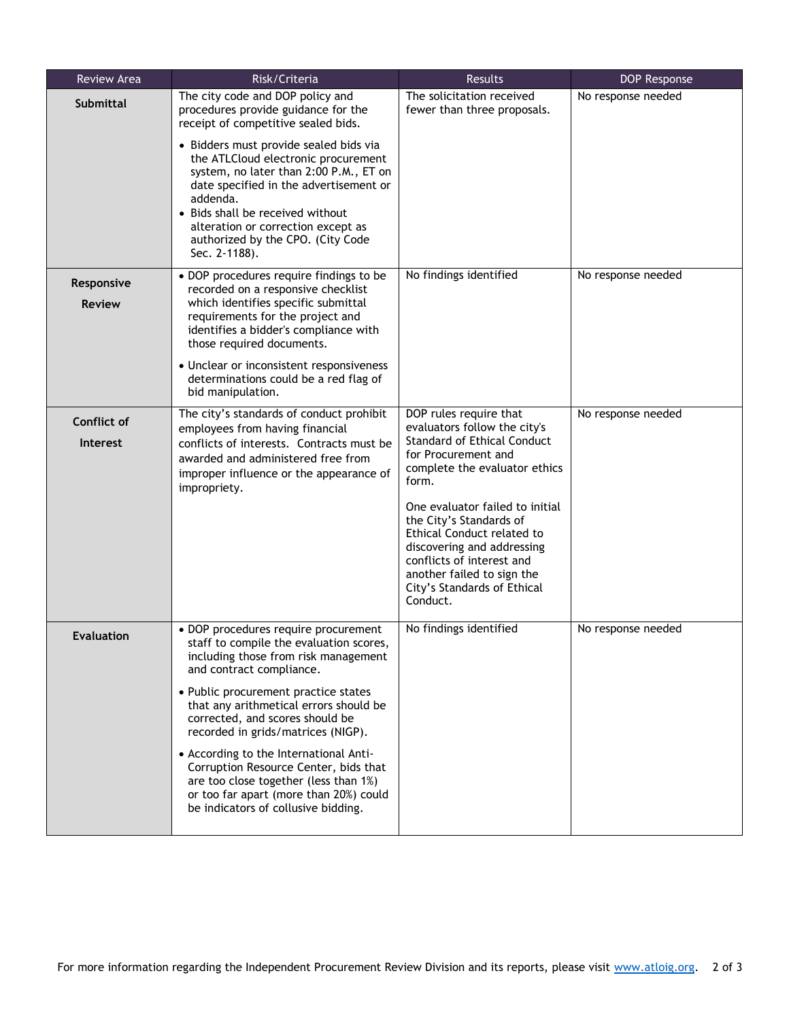| Review Area                           | Risk/Criteria                                                                                                                                                                                                                                                                                                                                                                                                                                                                                                               | Results                                                                                                                                                                                                                                                                                                                                                                                       | DOP Response       |
|---------------------------------------|-----------------------------------------------------------------------------------------------------------------------------------------------------------------------------------------------------------------------------------------------------------------------------------------------------------------------------------------------------------------------------------------------------------------------------------------------------------------------------------------------------------------------------|-----------------------------------------------------------------------------------------------------------------------------------------------------------------------------------------------------------------------------------------------------------------------------------------------------------------------------------------------------------------------------------------------|--------------------|
| <b>Submittal</b>                      | The city code and DOP policy and<br>procedures provide guidance for the<br>receipt of competitive sealed bids.                                                                                                                                                                                                                                                                                                                                                                                                              | The solicitation received<br>fewer than three proposals.                                                                                                                                                                                                                                                                                                                                      | No response needed |
|                                       | · Bidders must provide sealed bids via<br>the ATLCloud electronic procurement<br>system, no later than 2:00 P.M., ET on<br>date specified in the advertisement or<br>addenda.<br>• Bids shall be received without<br>alteration or correction except as<br>authorized by the CPO. (City Code<br>Sec. 2-1188).                                                                                                                                                                                                               |                                                                                                                                                                                                                                                                                                                                                                                               |                    |
| Responsive<br><b>Review</b>           | • DOP procedures require findings to be<br>recorded on a responsive checklist<br>which identifies specific submittal<br>requirements for the project and<br>identifies a bidder's compliance with<br>those required documents.                                                                                                                                                                                                                                                                                              | No findings identified                                                                                                                                                                                                                                                                                                                                                                        | No response needed |
|                                       | • Unclear or inconsistent responsiveness<br>determinations could be a red flag of<br>bid manipulation.                                                                                                                                                                                                                                                                                                                                                                                                                      |                                                                                                                                                                                                                                                                                                                                                                                               |                    |
| <b>Conflict of</b><br><b>Interest</b> | The city's standards of conduct prohibit<br>employees from having financial<br>conflicts of interests. Contracts must be<br>awarded and administered free from<br>improper influence or the appearance of<br>impropriety.                                                                                                                                                                                                                                                                                                   | DOP rules require that<br>evaluators follow the city's<br><b>Standard of Ethical Conduct</b><br>for Procurement and<br>complete the evaluator ethics<br>form.<br>One evaluator failed to initial<br>the City's Standards of<br>Ethical Conduct related to<br>discovering and addressing<br>conflicts of interest and<br>another failed to sign the<br>City's Standards of Ethical<br>Conduct. | No response needed |
| <b>Evaluation</b>                     | • DOP procedures require procurement<br>staff to compile the evaluation scores.<br>including those from risk management<br>and contract compliance.<br>• Public procurement practice states<br>that any arithmetical errors should be<br>corrected, and scores should be<br>recorded in grids/matrices (NIGP).<br>• According to the International Anti-<br>Corruption Resource Center, bids that<br>are too close together (less than 1%)<br>or too far apart (more than 20%) could<br>be indicators of collusive bidding. | No findings identified                                                                                                                                                                                                                                                                                                                                                                        | No response needed |